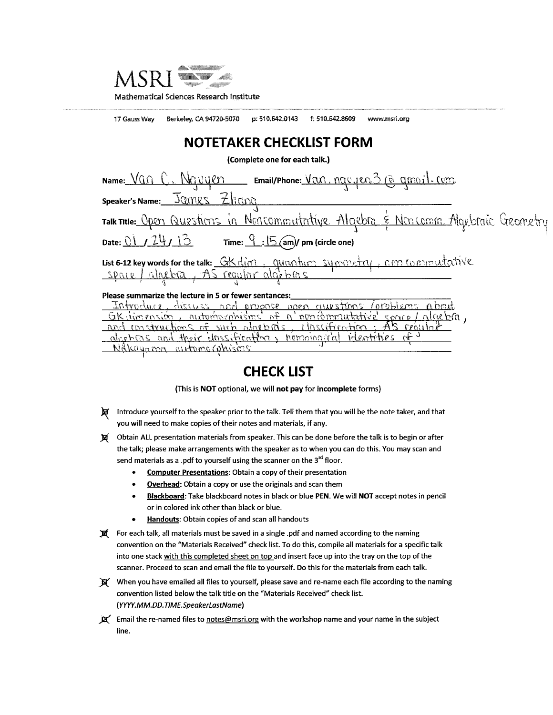

17 Gauss Way Berkeley, CA 94720-5070 p: 510.642.0143 f: 510.642.8609 www.msri.org

#### **NOTETAKER CHECKLIST FORM**

(Complete one for each talk.)

| Name: Van C. Navyen Email/Phone: Van. navyer 3 @ gmail.com                        |
|-----------------------------------------------------------------------------------|
| speaker's Name: James Zhana                                                       |
| Talk Title: Open Questions in Noncommutative Algebra & Noncomm Algebraic Geometry |
| Date: $01/24/13$ Time: $9.15$ (am)/ pm (circle one)                               |
| List 6-12 key words for the talk: GK dim, quantum symmetry, con commutative       |

#### Please summarize the lecture in 5 or fewer sentances:

| Introduce discuss and ergonse open questions coroblems about      |  |
|-------------------------------------------------------------------|--|
| GK dimension, outproproprient of a nonigmartative seare / algebra |  |
| and constructions of such algebras, elassification: AS regular    |  |
| deepths and their dassification, himological identities of        |  |
| Nakayama automorphisms                                            |  |
|                                                                   |  |

#### **CHECK LIST**

(This is NOT optional, we will not pay for incomplete forms)

- Introduce yourself to the speaker prior to the talk. Tell them that you will be the note taker, and that you will need to make copies of their notes and materials, if any.
- Obtain ALL presentation materials from speaker. This can be done before the talk is to begin or after 頁 the talk; please make arrangements with the speaker as to when you can do this. You may scan and send materials as a .pdf to yourself using the scanner on the 3<sup>rd</sup> floor.
	- **Computer Presentations: Obtain a copy of their presentation**
	- Overhead: Obtain a copy or use the originals and scan them
	- Blackboard: Take blackboard notes in black or blue PEN. We will NOT accept notes in pencil or in colored ink other than black or blue.
	- Handouts: Obtain copies of and scan all handouts  $\bullet$
- 夏 For each talk, all materials must be saved in a single .pdf and named according to the naming convention on the "Materials Received" check list. To do this, compile all materials for a specific talk into one stack with this completed sheet on top and insert face up into the tray on the top of the scanner. Proceed to scan and email the file to yourself. Do this for the materials from each talk.
- When you have emailed all files to yourself, please save and re-name each file according to the naming convention listed below the talk title on the "Materials Received" check list. (YYYY.MM.DD.TIME.SpeakerLastName)
- $\mathbb{R}^{\prime}$  Email the re-named files to notes@msri.org with the workshop name and your name in the subject line.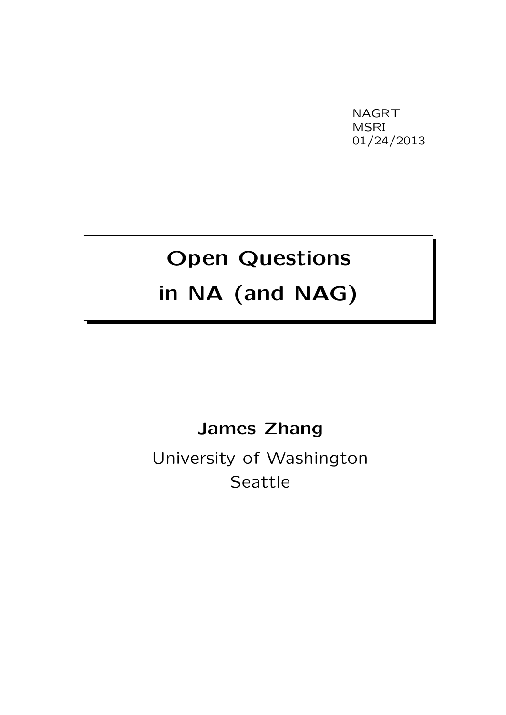NAGRT MSRI 01/24/2013

# Open Questions

### in NA (and NAG)

#### James Zhang

University of Washington Seattle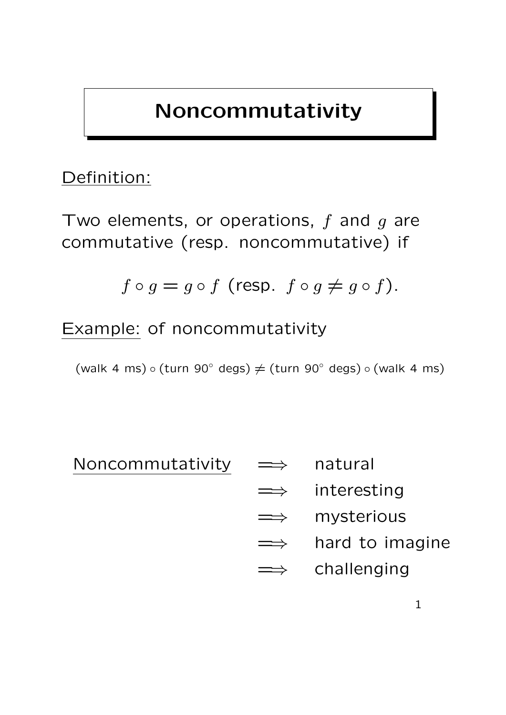### Noncommutativity

### Definition:

Two elements, or operations,  $f$  and  $g$  are commutative (resp. noncommutative) if

$$
f \circ g = g \circ f \text{ (resp. } f \circ g \neq g \circ f).
$$

Example: of noncommutativity

(walk 4 ms)  $\circ$  (turn 90° degs)  $\neq$  (turn 90° degs)  $\circ$  (walk 4 ms)

Noncommutativity =⇒ natural

- 
- $\Rightarrow$  interesting
- =⇒ mysterious
- $\implies$  hard to imagine
- $\implies$  challenging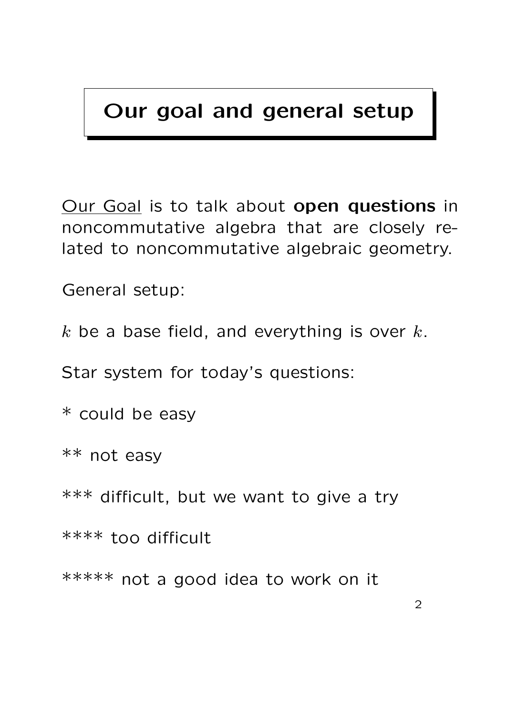### Our goal and general setup

Our Goal is to talk about open questions in noncommutative algebra that are closely related to noncommutative algebraic geometry.

General setup:

 $k$  be a base field, and everything is over  $k$ .

Star system for today's questions:

\* could be easy

\*\* not easy

\*\*\* difficult, but we want to give a try

\*\*\*\* too difficult

\*\*\*\*\* not a good idea to work on it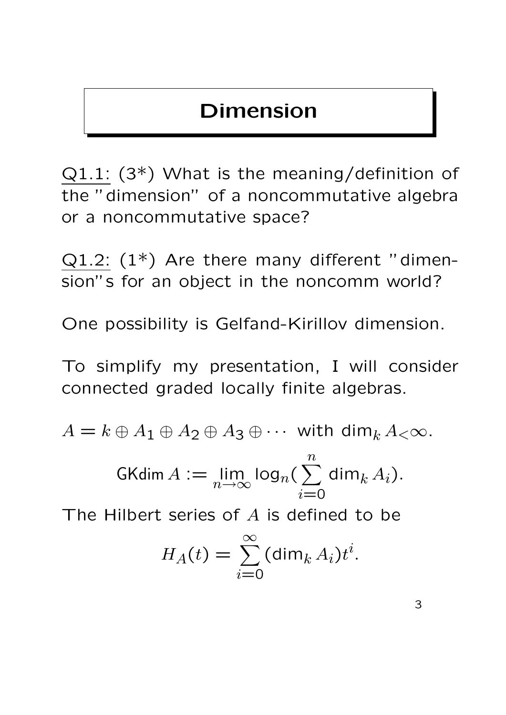### Dimension

Q1.1: (3\*) What is the meaning/definition of the "dimension" of a noncommutative algebra or a noncommutative space?

 $Q1.2$ :  $(1^*)$  Are there many different "dimension"s for an object in the noncomm world?

One possibility is Gelfand-Kirillov dimension.

To simplify my presentation, I will consider connected graded locally finite algebras.

 $A = k \oplus A_1 \oplus A_2 \oplus A_3 \oplus \cdots$  with dim<sub>k</sub>  $A_{< \infty}$ .

$$
\operatorname{GKdim} A := \lim_{n \to \infty} \log_n \left( \sum_{i=0}^n \dim_k A_i \right).
$$

The Hilbert series of A is defined to be

$$
H_A(t) = \sum_{i=0}^{\infty} (\dim_k A_i) t^i.
$$

3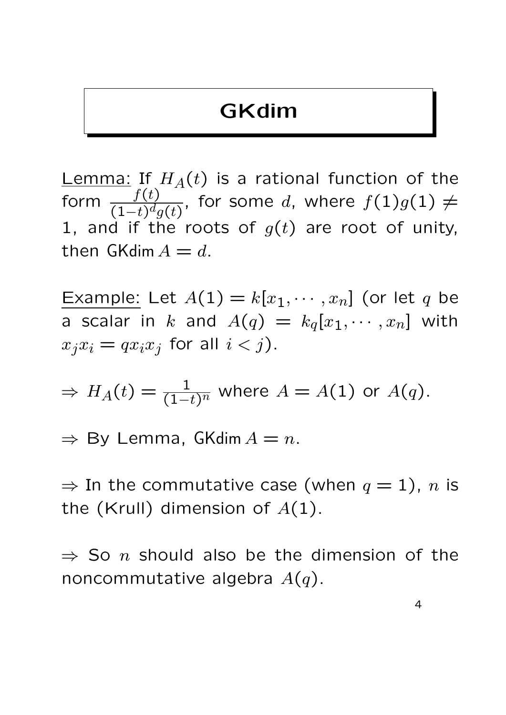### GKdim

Lemma: If  $H_A(t)$  is a rational function of the form  $\frac{f(t)}{(1-t)d}$  $\overline{(1-t)^d g(t)}$ , for some  $d$ , where  $f(1)g(1)\neq 0$ 1, and if the roots of  $g(t)$  are root of unity, then GKdim  $A = d$ .

Example: Let  $A(1) = k[x_1, \dots, x_n]$  (or let q be a scalar in k and  $A(q) = k_q[x_1, \cdots, x_n]$  with  $x_j x_i = q x_i x_j$  for all  $i < j$ ).

$$
\Rightarrow H_A(t) = \frac{1}{(1-t)^n} \text{ where } A = A(1) \text{ or } A(q).
$$

 $\Rightarrow$  By Lemma, GKdim  $A = n$ .

 $\Rightarrow$  In the commutative case (when  $q=1$ ), n is the (Krull) dimension of  $A(1)$ .

 $\Rightarrow$  So n should also be the dimension of the noncommutative algebra  $A(q)$ .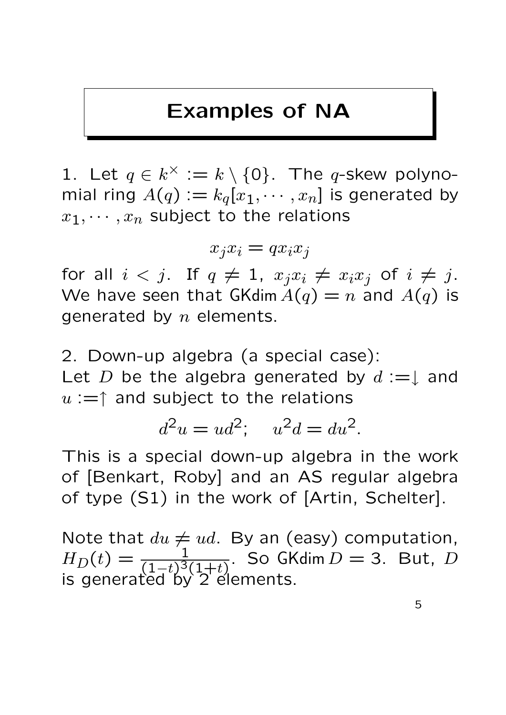### Examples of NA

1. Let  $q \in k^{\times} := k \setminus \{0\}$ . The *q*-skew polynomial ring  $A(q) := k_q[x_1, \cdots, x_n]$  is generated by  $x_1, \dots, x_n$  subject to the relations

 $x_i x_i = q x_i x_j$ 

for all  $i < j$ . If  $q \neq 1$ ,  $x_j x_i \neq x_i x_j$  of  $i \neq j$ . We have seen that GKdim  $A(q) = n$  and  $A(q)$  is generated by  $n$  elements.

2. Down-up algebra (a special case): Let D be the algebra generated by  $d := \downarrow$  and  $u := \uparrow$  and subject to the relations

$$
d^2u = ud^2; \quad u^2d = du^2.
$$

This is a special down-up algebra in the work of [Benkart, Roby] and an AS regular algebra of type (S1) in the work of [Artin, Schelter].

Note that  $du \neq ud$ . By an (easy) computation,  $H_D(t) = \frac{1}{(1-t)^3(1+t)}$ . So  $G$ Kdim  $D = 3$ . But,  $D$ is generated by 2 elements.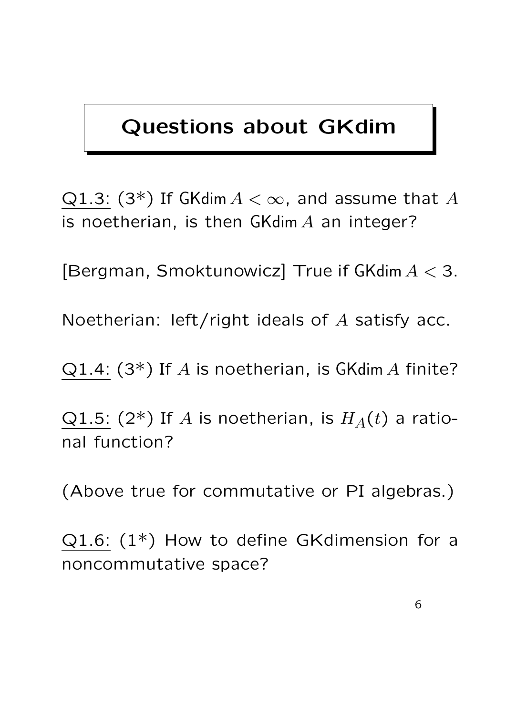### Questions about GKdim

Q1.3: (3\*) If GKdim  $A < \infty$ , and assume that A is noetherian, is then  $GKdim A$  an integer?

[Bergman, Smoktunowicz] True if GKdim  $A < 3$ .

Noetherian: left/right ideals of A satisfy acc.

Q1.4:  $(3^*)$  If A is noetherian, is GKdim A finite?

Q1.5: (2\*) If A is noetherian, is  $H_A(t)$  a rational function?

(Above true for commutative or PI algebras.)

 $Q1.6$ :  $(1^*)$  How to define GKdimension for a noncommutative space?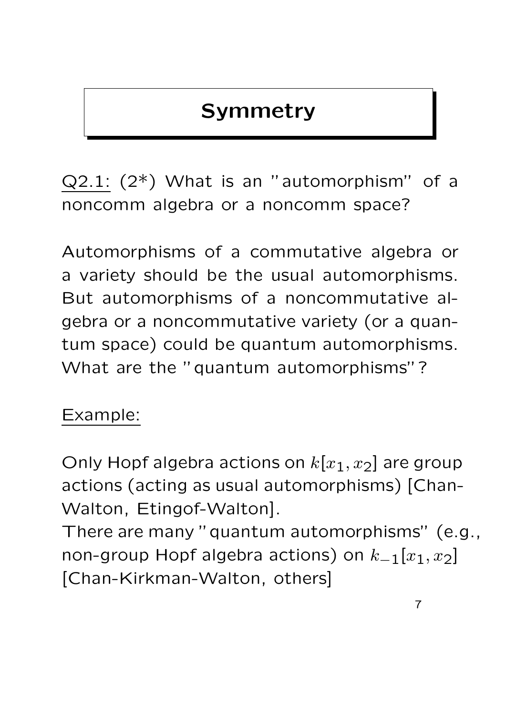### **Symmetry**

 $Q2.1: (2^*)$  What is an "automorphism" of a noncomm algebra or a noncomm space?

Automorphisms of a commutative algebra or a variety should be the usual automorphisms. But automorphisms of a noncommutative algebra or a noncommutative variety (or a quantum space) could be quantum automorphisms. What are the "quantum automorphisms"?

### Example:

Only Hopf algebra actions on  $k[x_1, x_2]$  are group actions (acting as usual automorphisms) [Chan-Walton, Etingof-Walton].

There are many "quantum automorphisms" (e.g., non-group Hopf algebra actions) on  $k_{-1}[x_1, x_2]$ [Chan-Kirkman-Walton, others]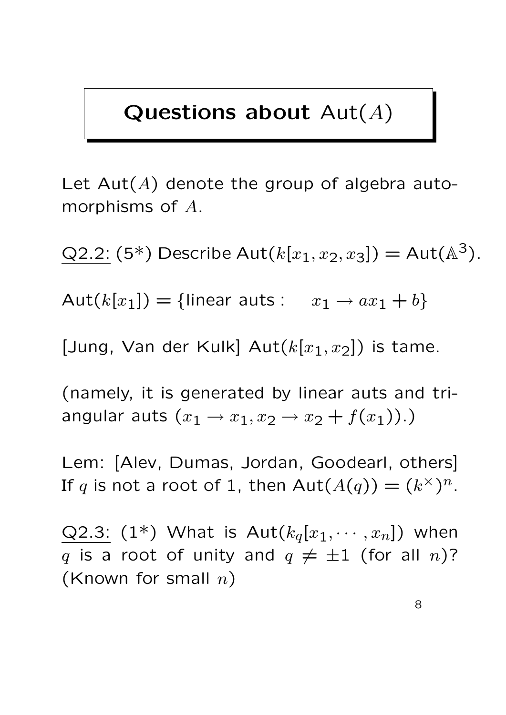### Questions about  $Aut(A)$

Let  $Aut(A)$  denote the group of algebra automorphisms of A.

 $Q2.2: (5^*)$  Describe Aut $(k[x_1, x_2, x_3]) = Aut(A^3)$ .

Aut $(k[x_1]) = \{$ linear auts :  $x_1 \rightarrow ax_1 + b\}$ 

[Jung, Van der Kulk]  $Aut(k[x_1, x_2])$  is tame.

(namely, it is generated by linear auts and triangular auts  $(x_1 \rightarrow x_1, x_2 \rightarrow x_2 + f(x_1))$ .)

Lem: [Alev, Dumas, Jordan, Goodearl, others] If q is not a root of 1, then  $Aut(A(q)) = (k^{\times})^n$ .

Q2.3:  $(1^*)$  What is  $Aut(k_q[x_1, \cdots, x_n])$  when q is a root of unity and  $q \neq \pm 1$  (for all n)? (Known for small  $n$ )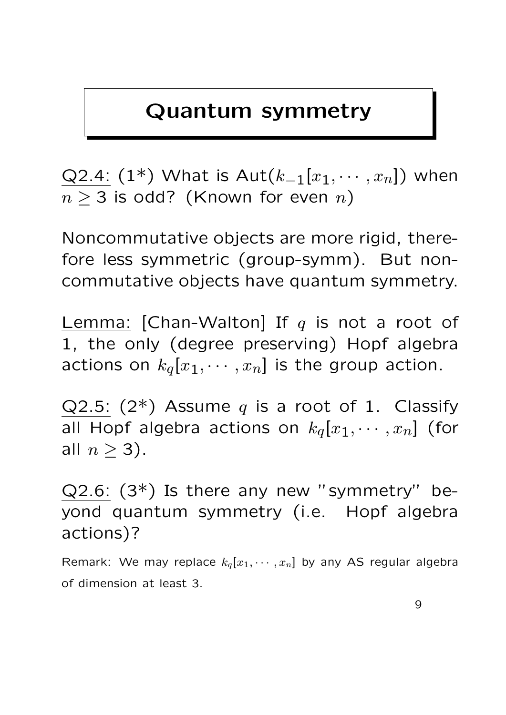### Quantum symmetry

Q2.4: (1\*) What is Aut( $k_{-1}[x_1, \dots, x_n]$ ) when  $n > 3$  is odd? (Known for even n)

Noncommutative objects are more rigid, therefore less symmetric (group-symm). But noncommutative objects have quantum symmetry.

Lemma: [Chan-Walton] If  $q$  is not a root of 1, the only (degree preserving) Hopf algebra actions on  $k_q[x_1, \cdots, x_n]$  is the group action.

Q2.5: (2\*) Assume q is a root of 1. Classify all Hopf algebra actions on  $k_q[x_1, \cdots, x_n]$  (for all  $n \geq 3$ ).

 $Q2.6$ :  $(3^*)$  Is there any new "symmetry" beyond quantum symmetry (i.e. Hopf algebra actions)?

Remark: We may replace  $k_q[x_1, \dots, x_n]$  by any AS regular algebra of dimension at least 3.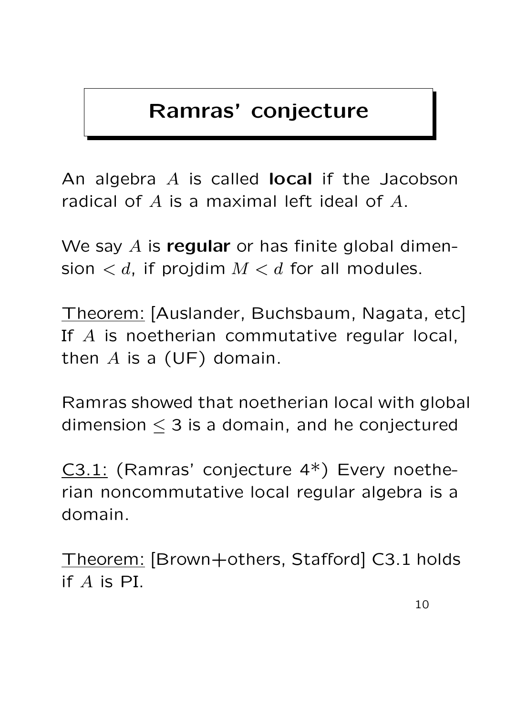### Ramras' conjecture

An algebra  $A$  is called **local** if the Jacobson radical of A is a maximal left ideal of A.

We say  $A$  is regular or has finite global dimension  $d$ , if projdim  $M < d$  for all modules.

Theorem: [Auslander, Buchsbaum, Nagata, etc] If A is noetherian commutative regular local, then  $A$  is a (UF) domain.

Ramras showed that noetherian local with global dimension  $\leq$  3 is a domain, and he conjectured

C3.1: (Ramras' conjecture 4\*) Every noetherian noncommutative local regular algebra is a domain.

Theorem: [Brown+others, Stafford] C3.1 holds if A is PI.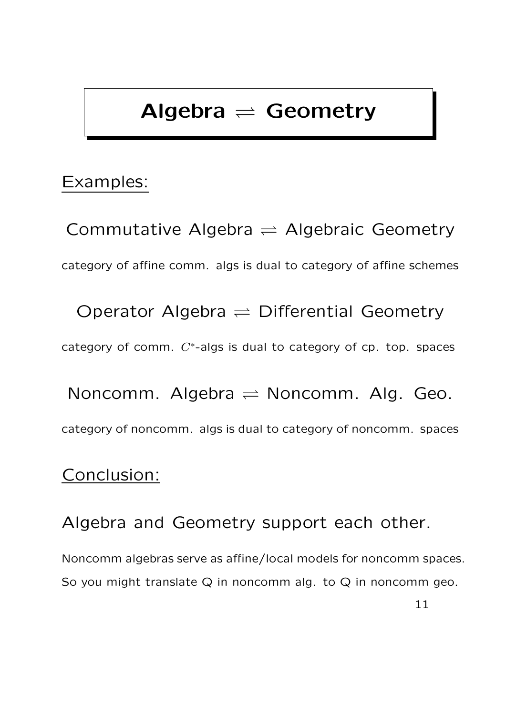### Algebra  $\rightleftharpoons$  Geometry

#### Examples:

Commutative Algebra  $\rightleftharpoons$  Algebraic Geometry category of affine comm. algs is dual to category of affine schemes

Operator Algebra  $\rightleftharpoons$  Differential Geometry category of comm.  $C^*$ -algs is dual to category of cp. top. spaces

Noncomm. Algebra  $\rightleftharpoons$  Noncomm. Alg. Geo. category of noncomm. algs is dual to category of noncomm. spaces

#### Conclusion:

Algebra and Geometry support each other.

Noncomm algebras serve as affine/local models for noncomm spaces. So you might translate  $Q$  in noncomm alg. to  $Q$  in noncomm geo.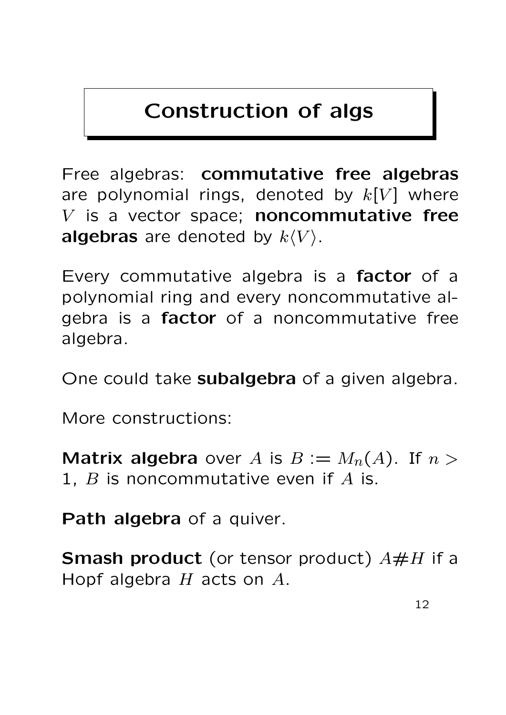### Construction of algs

Free algebras: commutative free algebras are polynomial rings, denoted by  $k[V]$  where  $V$  is a vector space; noncommutative free algebras are denoted by  $k\langle V \rangle$ .

Every commutative algebra is a factor of a polynomial ring and every noncommutative algebra is a factor of a noncommutative free algebra.

One could take **subalgebra** of a given algebra.

More constructions:

**Matrix algebra** over A is  $B := M_n(A)$ . If  $n >$ 1,  $B$  is noncommutative even if  $A$  is.

Path algebra of a quiver.

**Smash product** (or tensor product)  $A \# H$  if a Hopf algebra  $H$  acts on  $A$ .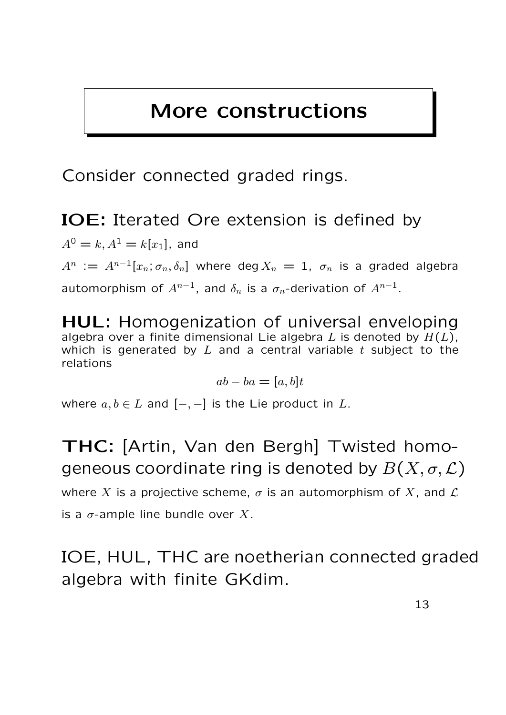### More constructions

Consider connected graded rings.

IOE: Iterated Ore extension is defined by

 $A^{0} = k, A^{1} = k[x_{1}]$ , and  $A^n \, := \, A^{n-1}[x_n; \sigma_n, \delta_n]$  where deg $X_n \, = \, 1, \ \sigma_n$  is a graded algebra automorphism of  $A^{n-1}$ , and  $\delta_n$  is a  $\sigma_n$ -derivation of  $A^{n-1}$ .

HUL: Homogenization of universal enveloping algebra over a finite dimensional Lie algebra L is denoted by  $H(L)$ , which is generated by  $L$  and a central variable  $t$  subject to the relations

$$
ab - ba = [a, b]t
$$

where  $a, b \in L$  and  $[-, -]$  is the Lie product in L.

THC: [Artin, Van den Bergh] Twisted homogeneous coordinate ring is denoted by  $B(X, \sigma, \mathcal{L})$ where X is a projective scheme,  $\sigma$  is an automorphism of X, and  $\mathcal L$ is a  $\sigma$ -ample line bundle over X.

IOE, HUL, THC are noetherian connected graded algebra with finite GKdim.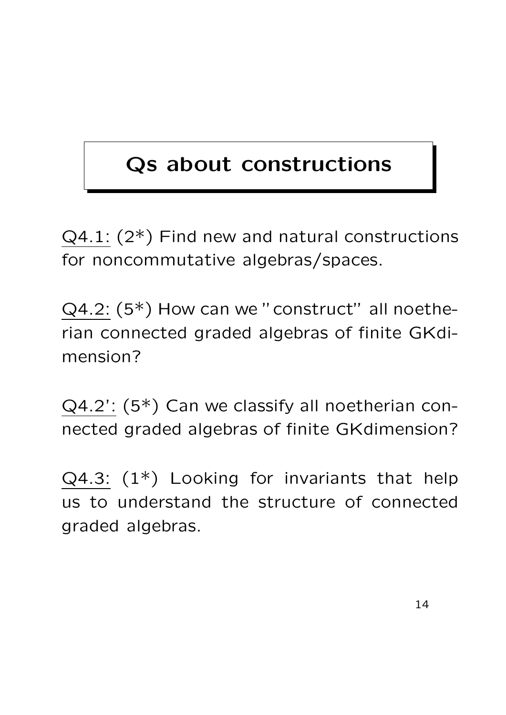# Qs about constructions

 $Q4.1$ :  $(2^*)$  Find new and natural constructions for noncommutative algebras/spaces.

 $Q4.2$ :  $(5^*)$  How can we "construct" all noetherian connected graded algebras of finite GKdimension?

Q4.2': (5\*) Can we classify all noetherian connected graded algebras of finite GKdimension?

 $Q4.3$ :  $(1^*)$  Looking for invariants that help us to understand the structure of connected graded algebras.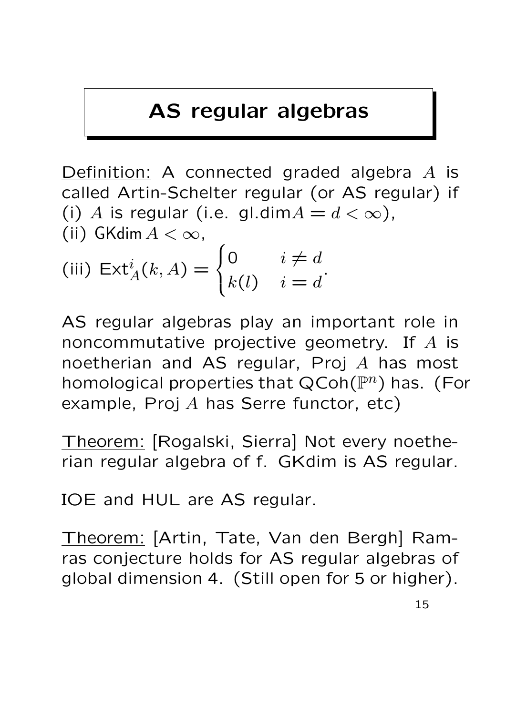### AS regular algebras

Definition: A connected graded algebra A is called Artin-Schelter regular (or AS regular) if (i) A is regular (i.e. gl.dim $A = d < \infty$ ), (ii) GKdim  $A < \infty$ ,  $\overline{ }$  $\sqrt{ }$ 0  $i \neq d$ 

(iii) 
$$
\operatorname{Ext}_A^i(k, A) = \begin{cases} 0 & i \neq d \\ k(l) & i = d \end{cases}
$$
.

AS regular algebras play an important role in noncommutative projective geometry. If A is noetherian and AS regular, Proj A has most homological properties that  $QCoh(\mathbb{P}^n)$  has. (For example, Proj  $A$  has Serre functor, etc)

Theorem: [Rogalski, Sierra] Not every noetherian regular algebra of f. GKdim is AS regular.

IOE and HUL are AS regular.

Theorem: [Artin, Tate, Van den Bergh] Ramras conjecture holds for AS regular algebras of global dimension 4. (Still open for 5 or higher).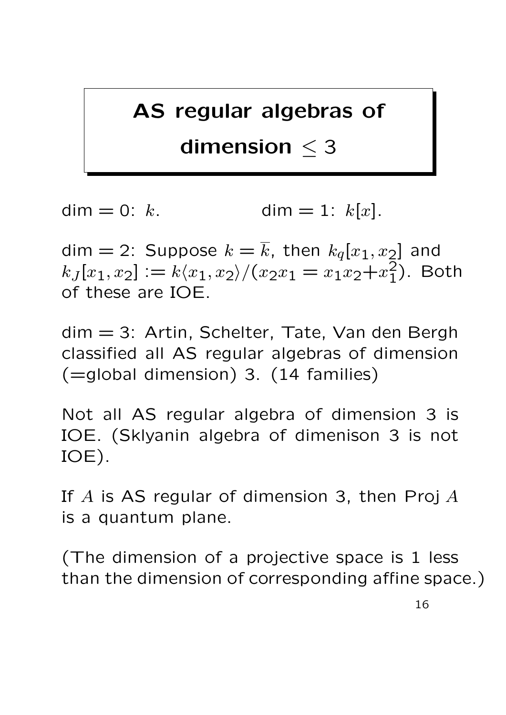### AS regular algebras of

### dimension  $\leq$  3

dim = 0: k. dim = 1:  $k[x]$ .

dim = 2: Suppose  $k = \overline{k}$ , then  $k_q[x_1, x_2]$  and  $k_J[x_1, x_2] := k \langle x_1, x_2 \rangle / (x_2 x_1 = x_1 x_2 + x_1^2)$  $\binom{2}{1}$ . Both of these are IOE.

dim = 3: Artin, Schelter, Tate, Van den Bergh classified all AS regular algebras of dimension (=global dimension) 3. (14 families)

Not all AS regular algebra of dimension 3 is IOE. (Sklyanin algebra of dimenison 3 is not IOE).

If  $A$  is AS regular of dimension 3, then Proj  $A$ is a quantum plane.

(The dimension of a projective space is 1 less than the dimension of corresponding affine space.)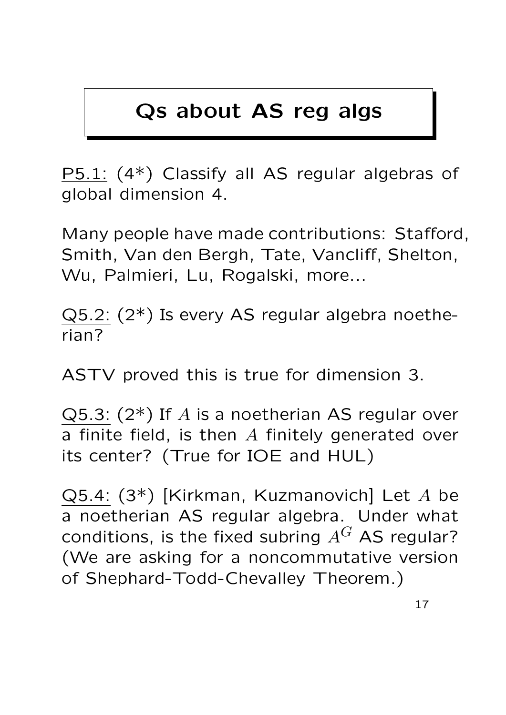### Qs about AS reg algs

P5.1: (4\*) Classify all AS regular algebras of global dimension 4.

Many people have made contributions: Stafford, Smith, Van den Bergh, Tate, Vancliff, Shelton, Wu, Palmieri, Lu, Rogalski, more...

Q5.2: (2\*) Is every AS regular algebra noetherian?

ASTV proved this is true for dimension 3.

 $Q5.3$ :  $(2^*)$  If A is a noetherian AS regular over a finite field, is then  $A$  finitely generated over its center? (True for IOE and HUL)

Q5.4: (3\*) [Kirkman, Kuzmanovich] Let A be a noetherian AS regular algebra. Under what conditions, is the fixed subring  $A^G$  AS regular? (We are asking for a noncommutative version of Shephard-Todd-Chevalley Theorem.)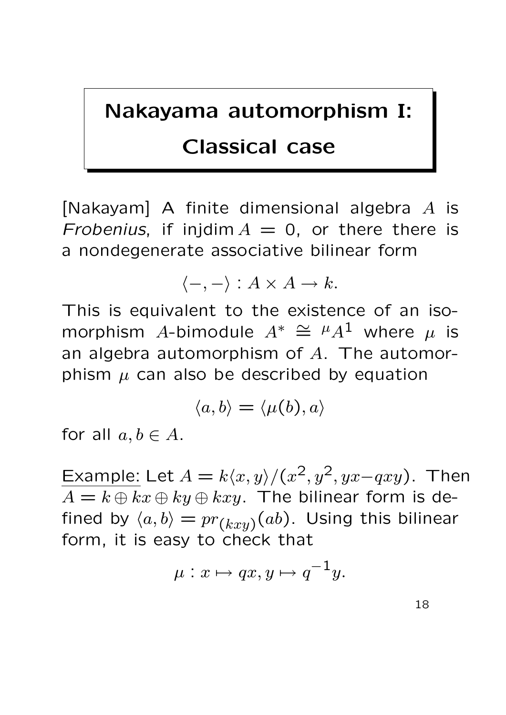### Nakayama automorphism I:

### Classical case

[Nakayam] A finite dimensional algebra  $A$  is Frobenius, if injdim  $A = 0$ , or there there is a nondegenerate associative bilinear form

$$
\langle -, - \rangle : A \times A \to k.
$$

This is equivalent to the existence of an isomorphism A-bimodule  $A^* \cong \mu A^1$  where  $\mu$  is an algebra automorphism of A. The automorphism  $\mu$  can also be described by equation

$$
\langle a,b\rangle=\langle \mu(b),a\rangle
$$

for all  $a, b \in A$ .

Example: Let  $A = k\langle x, y \rangle / (x^2, y^2, yx-qxy)$ . Then  $A = k \oplus kx \oplus ky \oplus kxy$ . The bilinear form is defined by  $\langle a, b \rangle = pr_{(kxy)}(ab)$ . Using this bilinear form, it is easy to check that

$$
\mu: x \mapsto qx, y \mapsto q^{-1}y.
$$

18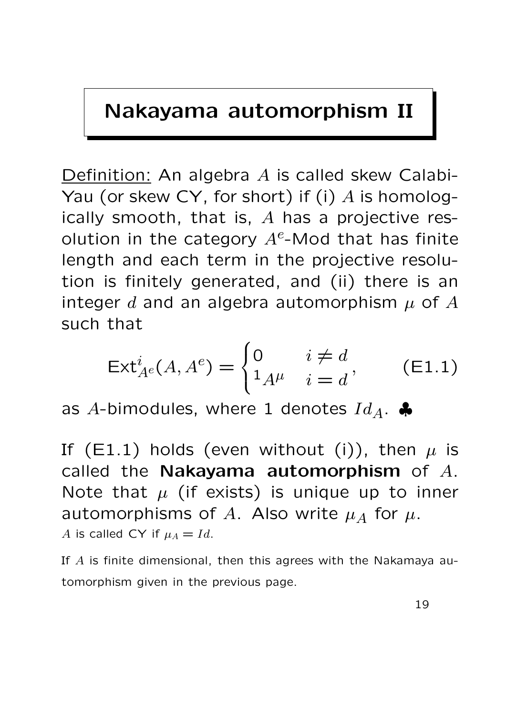### Nakayama automorphism II

Definition: An algebra A is called skew Calabi-Yau (or skew CY, for short) if (i)  $A$  is homologically smooth, that is,  $A$  has a projective resolution in the category  $A^e$ -Mod that has finite length and each term in the projective resolution is finitely generated, and (ii) there is an integer d and an algebra automorphism  $\mu$  of A such that

$$
\operatorname{Ext}_{A^e}^i(A, A^e) = \begin{cases} 0 & i \neq d \\ 1_{A^\mu} & i = d \end{cases}, \qquad \text{(E1.1)}
$$

as A-bimodules, where 1 denotes  $Id_A$ .

If (E1.1) holds (even without (i)), then  $\mu$  is called the Nakayama automorphism of  $A$ . Note that  $\mu$  (if exists) is unique up to inner automorphisms of A. Also write  $\mu_A$  for  $\mu$ . A is called CY if  $\mu_A = Id$ .

If  $A$  is finite dimensional, then this agrees with the Nakamaya automorphism given in the previous page.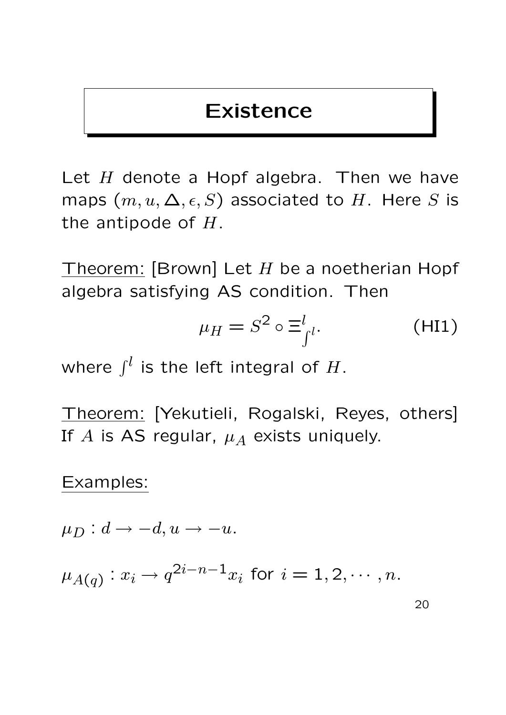### Existence

Let  $H$  denote a Hopf algebra. Then we have maps  $(m, u, \Delta, \epsilon, S)$  associated to H. Here S is the antipode of  $H$ .

Theorem: [Brown] Let  $H$  be a noetherian Hopf algebra satisfying AS condition. Then

$$
\mu_H = S^2 \circ \Xi_{\int^{l}}^{l}.
$$
 (H11)

where  $\int_0^l$  is the left integral of H.

Theorem: [Yekutieli, Rogalski, Reyes, others] If A is AS regular,  $\mu_A$  exists uniquely.

#### Examples:

 $\mu_D : d \to -d, u \to -u.$ 

 $\mu_{A(q)}: x_i \rightarrow q^{2i-n-1}x_i$  for  $i=1,2,\cdots,n.$ 

20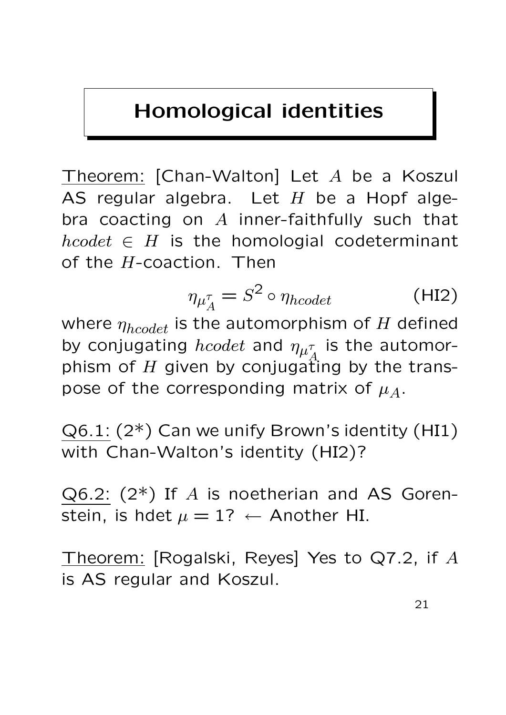### Homological identities

Theorem: [Chan-Walton] Let A be a Koszul AS regular algebra. Let  $H$  be a Hopf algebra coacting on  $A$  inner-faithfully such that  $hcodet \in H$  is the homologial codeterminant of the  $H$ -coaction. Then

$$
\eta_{\mu_A^{\tau}} = S^2 \circ \eta_{hcodet} \tag{HI2}
$$

where  $\eta_{hcodet}$  is the automorphism of H defined by conjugating  $hcode$  and  $\eta_{\mu_{\ell}^{\tau}}$ A is the automorphism of H given by conjugating by the transpose of the corresponding matrix of  $\mu_A$ .

 $Q6.1$ :  $(2^*)$  Can we unify Brown's identity (HI1) with Chan-Walton's identity (HI2)?

 $Q6.2$ :  $(2^*)$  If A is noetherian and AS Gorenstein, is hdet  $\mu = 1$ ?  $\leftarrow$  Another HI.

Theorem: [Rogalski, Reyes] Yes to Q7.2, if A is AS regular and Koszul.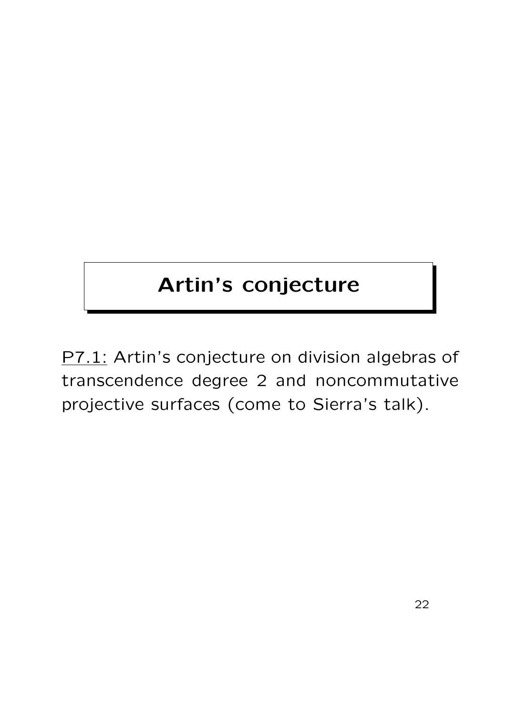# Artin's conjecture

P7.1: Artin's conjecture on division algebras of transcendence degree 2 and noncommutative projective surfaces (come to Sierra's talk).